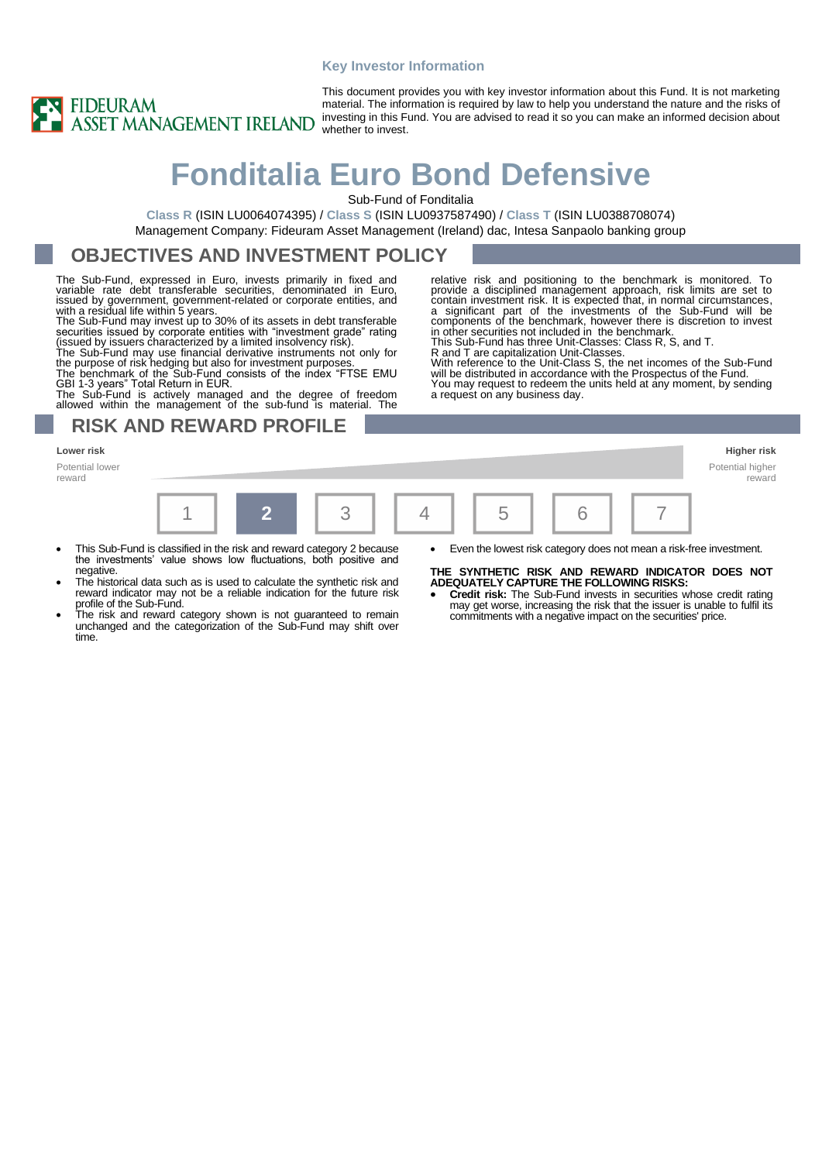#### **Key Investor Information**



This document provides you with key investor information about this Fund. It is not marketing material. The information is required by law to help you understand the nature and the risks of investing in this Fund. You are advised to read it so you can make an informed decision about whether to invest.

# **Fonditalia Euro Bond Defensive**

Sub-Fund of Fonditalia

**Class R** (ISIN LU0064074395) / **Class S** (ISIN LU0937587490) / **Class T** (ISIN LU0388708074) Management Company: Fideuram Asset Management (Ireland) dac, Intesa Sanpaolo banking group

## **OBJECTIVES AND INVESTMENT POLICY**

The Sub-Fund, expressed in Euro, invests primarily in fixed and variable rate debt transferable securities, denominated in Euro, issued by government, government-related or corporate entities, and with a residual life within 5 years. The Sub-Fund may invest up to 30% of its assets in debt transferable

securities issued by corporate entities with "investment grade" rating<br>(issued by issuers characterized by a limited insolvency risk).<br>The Sub-Fund may use financial derivative instruments not only for<br>the purpose of risk

The Sub-Fund is actively managed and the degree of freedom

allowed within the management of the sub-fund is material. The

### **RISK AND REWARD PROFILE**

#### **Lower risk Higher risk**

Potential lower reward



- This Sub-Fund is classified in the risk and reward category 2 because the investments' value shows low fluctuations, both positive and negative
- The historical data such as is used to calculate the synthetic risk and reward indicator may not be a reliable indication for the future risk profile of the Sub-Fund.
- The risk and reward category shown is not guaranteed to remain unchanged and the categorization of the Sub-Fund may shift over time.

#### relative risk and positioning to the benchmark is monitored. To provide a disciplined management approach, risk limits are set to contain investment risk. It is expected that, in normal circumstances, a significant part of the investments of the Sub-Fund will be components of the benchmark, however there is discretion to invest in other securities not included in the benchmark. This Sub-Fund has three Unit-Classes: Class R, S, and T. R and T are capitalization Unit-Classes.

With reference to the Unit-Class S, the net incomes of the Sub-Fund will be distributed in accordance with the Prospectus of the Fund. You may request to redeem the units held at any moment, by sending a request on any business day.

reward

### **THE SYNTHETIC RISK AND REWARD INDICATOR DOES NOT**

**ADEQUATELY CAPTURE THE FOLLOWING RISKS:** • **Credit risk:** The Sub-Fund invests in securities whose credit rating may get worse, increasing the risk that the issuer is unable to fulfil its commitments with a negative impact on the securities' price.